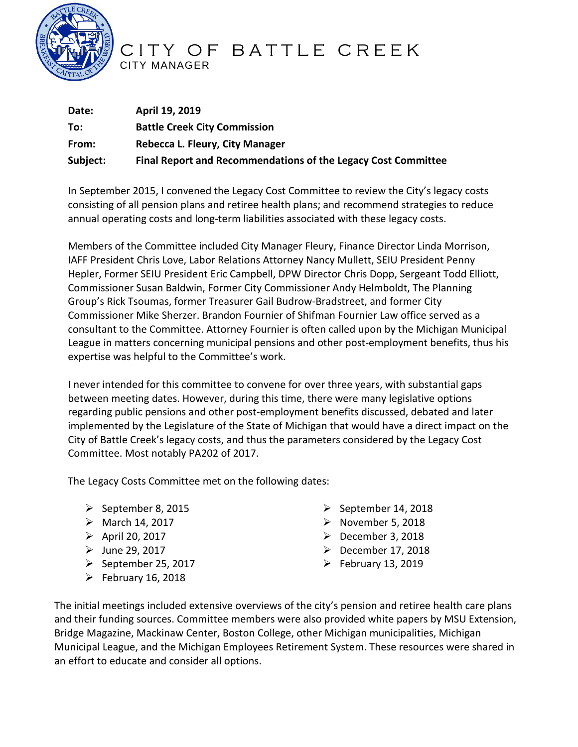

## CITY OF BATTLE CREEK CITY MANAGER

| Date:    | April 19, 2019                                                |
|----------|---------------------------------------------------------------|
| To:      | <b>Battle Creek City Commission</b>                           |
| From:    | Rebecca L. Fleury, City Manager                               |
| Subject: | Final Report and Recommendations of the Legacy Cost Committee |

In September 2015, I convened the Legacy Cost Committee to review the City's legacy costs consisting of all pension plans and retiree health plans; and recommend strategies to reduce annual operating costs and long-term liabilities associated with these legacy costs.

Members of the Committee included City Manager Fleury, Finance Director Linda Morrison, IAFF President Chris Love, Labor Relations Attorney Nancy Mullett, SEIU President Penny Hepler, Former SEIU President Eric Campbell, DPW Director Chris Dopp, Sergeant Todd Elliott, Commissioner Susan Baldwin, Former City Commissioner Andy Helmboldt, The Planning Group's Rick Tsoumas, former Treasurer Gail Budrow-Bradstreet, and former City Commissioner Mike Sherzer. Brandon Fournier of Shifman Fournier Law office served as a consultant to the Committee. Attorney Fournier is often called upon by the Michigan Municipal League in matters concerning municipal pensions and other post-employment benefits, thus his expertise was helpful to the Committee's work.

I never intended for this committee to convene for over three years, with substantial gaps between meeting dates. However, during this time, there were many legislative options regarding public pensions and other post-employment benefits discussed, debated and later implemented by the Legislature of the State of Michigan that would have a direct impact on the City of Battle Creek's legacy costs, and thus the parameters considered by the Legacy Cost Committee. Most notably PA202 of 2017.

The Legacy Costs Committee met on the following dates:

- $\triangleright$  September 8, 2015
- $\triangleright$  March 14, 2017
- $\triangleright$  April 20, 2017
- $\blacktriangleright$  June 29, 2017
- $\triangleright$  September 25, 2017
- $\triangleright$  February 16, 2018
- $\triangleright$  September 14, 2018
- $\triangleright$  November 5, 2018
- $\triangleright$  December 3, 2018
- $\triangleright$  December 17, 2018
- $\triangleright$  February 13, 2019

The initial meetings included extensive overviews of the city's pension and retiree health care plans and their funding sources. Committee members were also provided white papers by MSU Extension, Bridge Magazine, Mackinaw Center, Boston College, other Michigan municipalities, Michigan Municipal League, and the Michigan Employees Retirement System. These resources were shared in an effort to educate and consider all options.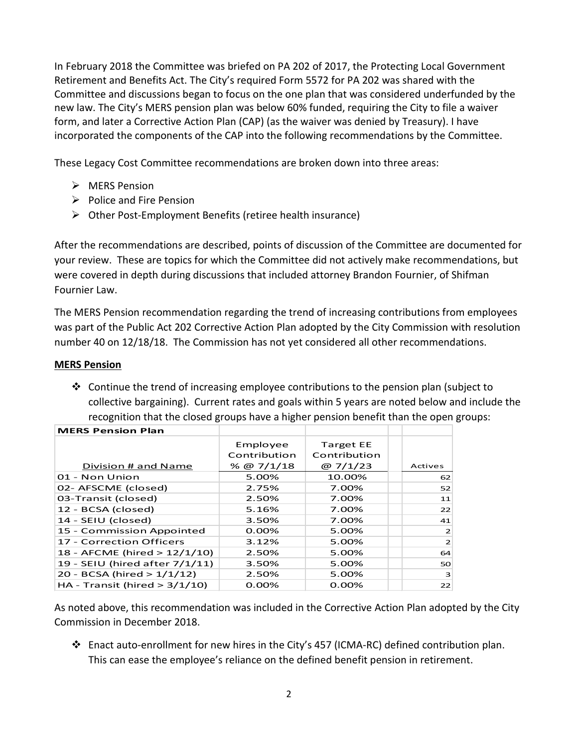In February 2018 the Committee was briefed on PA 202 of 2017, the Protecting Local Government Retirement and Benefits Act. The City's required Form 5572 for PA 202 was shared with the Committee and discussions began to focus on the one plan that was considered underfunded by the new law. The City's MERS pension plan was below 60% funded, requiring the City to file a waiver form, and later a Corrective Action Plan (CAP) (as the waiver was denied by Treasury). I have incorporated the components of the CAP into the following recommendations by the Committee.

These Legacy Cost Committee recommendations are broken down into three areas:

- $\triangleright$  MERS Pension
- $\triangleright$  Police and Fire Pension
- $\triangleright$  Other Post-Employment Benefits (retiree health insurance)

After the recommendations are described, points of discussion of the Committee are documented for your review. These are topics for which the Committee did not actively make recommendations, but were covered in depth during discussions that included attorney Brandon Fournier, of Shifman Fournier Law.

The MERS Pension recommendation regarding the trend of increasing contributions from employees was part of the Public Act 202 Corrective Action Plan adopted by the City Commission with resolution number 40 on 12/18/18. The Commission has not yet considered all other recommendations.

#### **MERS Pension**

 $\div$  Continue the trend of increasing employee contributions to the pension plan (subject to collective bargaining). Current rates and goals within 5 years are noted below and include the recognition that the closed groups have a higher pension benefit than the open groups:

| <b>MERS Pension Plan</b>         |               |                  |                |
|----------------------------------|---------------|------------------|----------------|
|                                  | Employee      | <b>Target EE</b> |                |
|                                  | Contribution  | Contribution     |                |
| Division # and Name              | $\%$ @ 7/1/18 | @ $7/1/23$       | Actives        |
| 01 - Non Union                   | 5.00%         | 10.00%           | 62             |
| 02- AFSCME (closed)              | 2.75%         | 7.00%            | 52             |
| 03-Transit (closed)              | 2.50%         | 7.00%            | 11             |
| 12 - BCSA (closed)               | 5.16%         | 7.00%            | 22             |
| 14 - SEIU (closed)               | 3.50%         | 7.00%            | 41             |
| 15 - Commission Appointed        | $0.00\%$      | 5.00%            | $\overline{2}$ |
| 17 - Correction Officers         | 3.12%         | 5.00%            | 2 <sup>1</sup> |
| 18 - AFCME (hired > 12/1/10)     | 2.50%         | 5.00%            | 64             |
| 19 - SEIU (hired after 7/1/11)   | 3.50%         | 5.00%            | 50             |
| 20 - BCSA (hired > 1/1/12)       | 2.50%         | 5.00%            | $\mathbf{B}$   |
| HA - Transit (hired $> 3/1/10$ ) | 0.00%         | 0.00%            | 22             |

**MERS Pension Plan**

As noted above, this recommendation was included in the Corrective Action Plan adopted by the City Commission in December 2018.

 Enact auto-enrollment for new hires in the City's 457 (ICMA-RC) defined contribution plan. This can ease the employee's reliance on the defined benefit pension in retirement.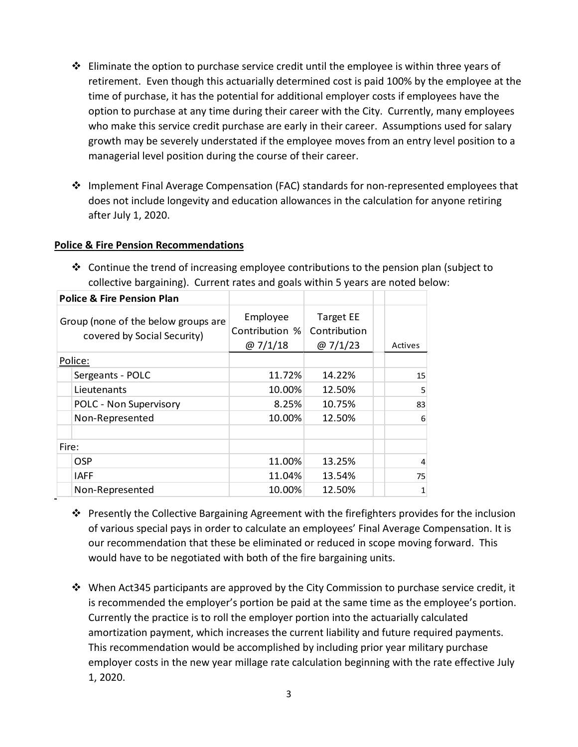- $\div$  Eliminate the option to purchase service credit until the employee is within three years of retirement. Even though this actuarially determined cost is paid 100% by the employee at the time of purchase, it has the potential for additional employer costs if employees have the option to purchase at any time during their career with the City. Currently, many employees who make this service credit purchase are early in their career. Assumptions used for salary growth may be severely understated if the employee moves from an entry level position to a managerial level position during the course of their career.
- ❖ Implement Final Average Compensation (FAC) standards for non-represented employees that does not include longevity and education allowances in the calculation for anyone retiring after July 1, 2020.

#### **Police & Fire Pension Recommendations**

 $\cdot \cdot$  Continue the trend of increasing employee contributions to the pension plan (subject to collective bargaining). Current rates and goals within 5 years are noted below:

| <b>Police &amp; Fire Pension Plan</b>                              |                        |                                          |                                                |         |
|--------------------------------------------------------------------|------------------------|------------------------------------------|------------------------------------------------|---------|
| Group (none of the below groups are<br>covered by Social Security) |                        | Employee<br>Contribution %<br>@ $7/1/18$ | <b>Target EE</b><br>Contribution<br>@ $7/1/23$ | Actives |
| Police:                                                            |                        |                                          |                                                |         |
|                                                                    | Sergeants - POLC       | 11.72%                                   | 14.22%                                         | 15      |
|                                                                    | Lieutenants            | 10.00%                                   | 12.50%                                         | 5       |
|                                                                    | POLC - Non Supervisory | 8.25%                                    | 10.75%                                         | 83      |
|                                                                    | Non-Represented        | 10.00%                                   | 12.50%                                         | 6       |
| Fire:                                                              |                        |                                          |                                                |         |
|                                                                    | <b>OSP</b>             | 11.00%                                   | 13.25%                                         | 4       |
|                                                                    | <b>IAFF</b>            | 11.04%                                   | 13.54%                                         | 75      |
|                                                                    | Non-Represented        | 10.00%                                   | 12.50%                                         | 1       |

- ❖ Presently the Collective Bargaining Agreement with the firefighters provides for the inclusion of various special pays in order to calculate an employees' Final Average Compensation. It is our recommendation that these be eliminated or reduced in scope moving forward. This would have to be negotiated with both of the fire bargaining units.
- $\cdot$  When Act345 participants are approved by the City Commission to purchase service credit, it is recommended the employer's portion be paid at the same time as the employee's portion. Currently the practice is to roll the employer portion into the actuarially calculated amortization payment, which increases the current liability and future required payments. This recommendation would be accomplished by including prior year military purchase employer costs in the new year millage rate calculation beginning with the rate effective July 1, 2020.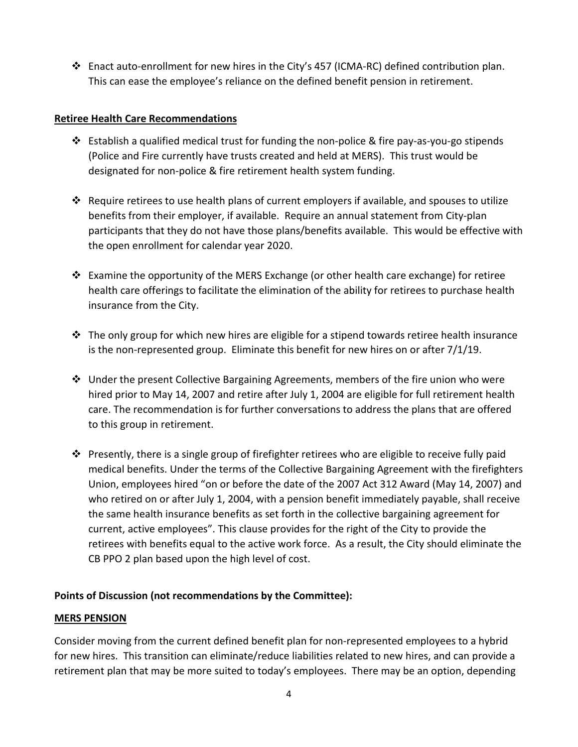Enact auto-enrollment for new hires in the City's 457 (ICMA-RC) defined contribution plan. This can ease the employee's reliance on the defined benefit pension in retirement.

#### **Retiree Health Care Recommendations**

- $\clubsuit$  Establish a qualified medical trust for funding the non-police & fire pay-as-you-go stipends (Police and Fire currently have trusts created and held at MERS). This trust would be designated for non-police & fire retirement health system funding.
- Require retirees to use health plans of current employers if available, and spouses to utilize benefits from their employer, if available. Require an annual statement from City-plan participants that they do not have those plans/benefits available. This would be effective with the open enrollment for calendar year 2020.
- Examine the opportunity of the MERS Exchange (or other health care exchange) for retiree health care offerings to facilitate the elimination of the ability for retirees to purchase health insurance from the City.
- $\clubsuit$  The only group for which new hires are eligible for a stipend towards retiree health insurance is the non-represented group. Eliminate this benefit for new hires on or after 7/1/19.
- $\div$  Under the present Collective Bargaining Agreements, members of the fire union who were hired prior to May 14, 2007 and retire after July 1, 2004 are eligible for full retirement health care. The recommendation is for further conversations to address the plans that are offered to this group in retirement.
- Presently, there is a single group of firefighter retirees who are eligible to receive fully paid medical benefits. Under the terms of the Collective Bargaining Agreement with the firefighters Union, employees hired "on or before the date of the 2007 Act 312 Award (May 14, 2007) and who retired on or after July 1, 2004, with a pension benefit immediately payable, shall receive the same health insurance benefits as set forth in the collective bargaining agreement for current, active employees". This clause provides for the right of the City to provide the retirees with benefits equal to the active work force. As a result, the City should eliminate the CB PPO 2 plan based upon the high level of cost.

### **Points of Discussion (not recommendations by the Committee):**

#### **MERS PENSION**

Consider moving from the current defined benefit plan for non-represented employees to a hybrid for new hires. This transition can eliminate/reduce liabilities related to new hires, and can provide a retirement plan that may be more suited to today's employees. There may be an option, depending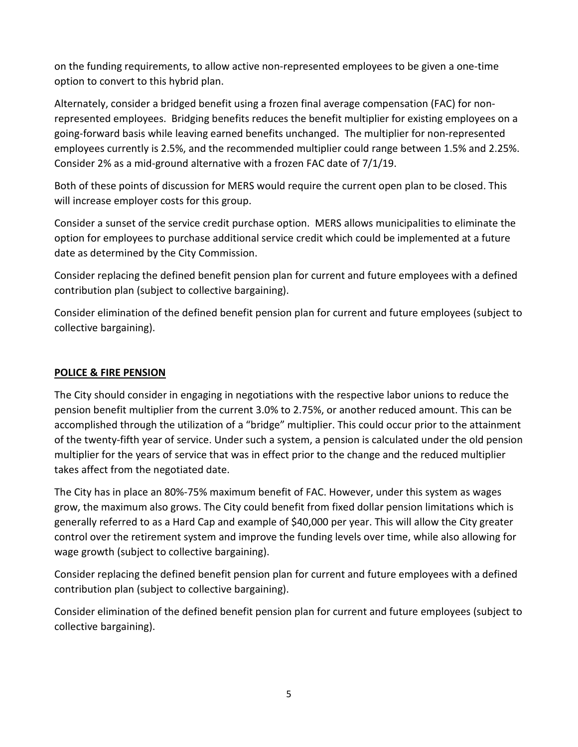on the funding requirements, to allow active non-represented employees to be given a one-time option to convert to this hybrid plan.

Alternately, consider a bridged benefit using a frozen final average compensation (FAC) for nonrepresented employees. Bridging benefits reduces the benefit multiplier for existing employees on a going-forward basis while leaving earned benefits unchanged. The multiplier for non-represented employees currently is 2.5%, and the recommended multiplier could range between 1.5% and 2.25%. Consider 2% as a mid-ground alternative with a frozen FAC date of 7/1/19.

Both of these points of discussion for MERS would require the current open plan to be closed. This will increase employer costs for this group.

Consider a sunset of the service credit purchase option. MERS allows municipalities to eliminate the option for employees to purchase additional service credit which could be implemented at a future date as determined by the City Commission.

Consider replacing the defined benefit pension plan for current and future employees with a defined contribution plan (subject to collective bargaining).

Consider elimination of the defined benefit pension plan for current and future employees (subject to collective bargaining).

#### **POLICE & FIRE PENSION**

The City should consider in engaging in negotiations with the respective labor unions to reduce the pension benefit multiplier from the current 3.0% to 2.75%, or another reduced amount. This can be accomplished through the utilization of a "bridge" multiplier. This could occur prior to the attainment of the twenty-fifth year of service. Under such a system, a pension is calculated under the old pension multiplier for the years of service that was in effect prior to the change and the reduced multiplier takes affect from the negotiated date.

The City has in place an 80%-75% maximum benefit of FAC. However, under this system as wages grow, the maximum also grows. The City could benefit from fixed dollar pension limitations which is generally referred to as a Hard Cap and example of \$40,000 per year. This will allow the City greater control over the retirement system and improve the funding levels over time, while also allowing for wage growth (subject to collective bargaining).

Consider replacing the defined benefit pension plan for current and future employees with a defined contribution plan (subject to collective bargaining).

Consider elimination of the defined benefit pension plan for current and future employees (subject to collective bargaining).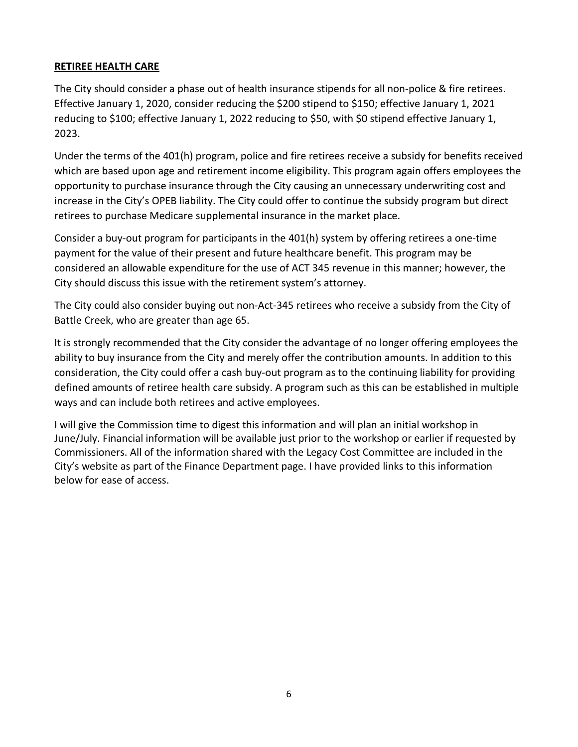#### **RETIREE HEALTH CARE**

The City should consider a phase out of health insurance stipends for all non-police & fire retirees. Effective January 1, 2020, consider reducing the \$200 stipend to \$150; effective January 1, 2021 reducing to \$100; effective January 1, 2022 reducing to \$50, with \$0 stipend effective January 1, 2023.

Under the terms of the 401(h) program, police and fire retirees receive a subsidy for benefits received which are based upon age and retirement income eligibility. This program again offers employees the opportunity to purchase insurance through the City causing an unnecessary underwriting cost and increase in the City's OPEB liability. The City could offer to continue the subsidy program but direct retirees to purchase Medicare supplemental insurance in the market place.

Consider a buy-out program for participants in the 401(h) system by offering retirees a one-time payment for the value of their present and future healthcare benefit. This program may be considered an allowable expenditure for the use of ACT 345 revenue in this manner; however, the City should discuss this issue with the retirement system's attorney.

The City could also consider buying out non-Act-345 retirees who receive a subsidy from the City of Battle Creek, who are greater than age 65.

It is strongly recommended that the City consider the advantage of no longer offering employees the ability to buy insurance from the City and merely offer the contribution amounts. In addition to this consideration, the City could offer a cash buy-out program as to the continuing liability for providing defined amounts of retiree health care subsidy. A program such as this can be established in multiple ways and can include both retirees and active employees.

I will give the Commission time to digest this information and will plan an initial workshop in June/July. Financial information will be available just prior to the workshop or earlier if requested by Commissioners. All of the information shared with the Legacy Cost Committee are included in the City's website as part of the Finance Department page. I have provided links to this information below for ease of access.